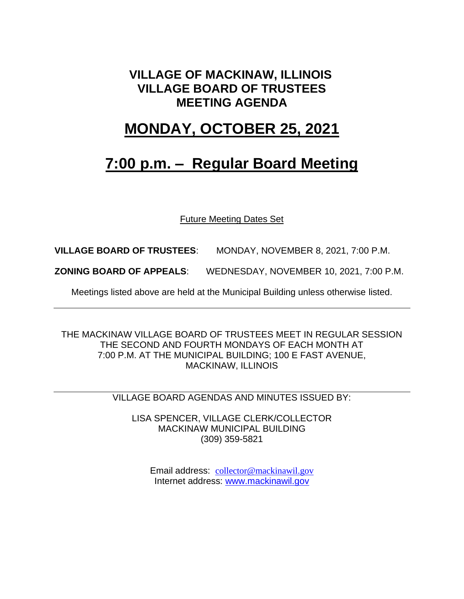## **VILLAGE OF MACKINAW, ILLINOIS VILLAGE BOARD OF TRUSTEES MEETING AGENDA**

## **MONDAY, OCTOBER 25, 2021**

## **7:00 p.m. – Regular Board Meeting**

Future Meeting Dates Set

**VILLAGE BOARD OF TRUSTEES**: MONDAY, NOVEMBER 8, 2021, 7:00 P.M.

**ZONING BOARD OF APPEALS**: WEDNESDAY, NOVEMBER 10, 2021, 7:00 P.M.

Meetings listed above are held at the Municipal Building unless otherwise listed.

THE MACKINAW VILLAGE BOARD OF TRUSTEES MEET IN REGULAR SESSION THE SECOND AND FOURTH MONDAYS OF EACH MONTH AT 7:00 P.M. AT THE MUNICIPAL BUILDING; 100 E FAST AVENUE, MACKINAW, ILLINOIS

VILLAGE BOARD AGENDAS AND MINUTES ISSUED BY:

LISA SPENCER, VILLAGE CLERK/COLLECTOR MACKINAW MUNICIPAL BUILDING (309) 359-5821

Email address: [collector@mackinawil.gov](mailto:collector@mackinawil.gov) Internet address: [www.mackinawil.gov](http://www.mackinawil.gov/)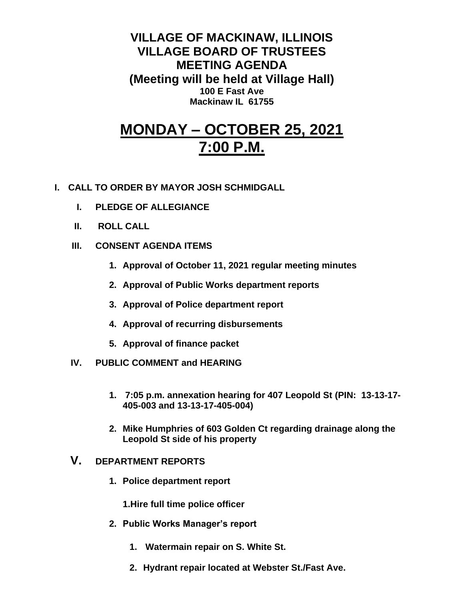**VILLAGE OF MACKINAW, ILLINOIS VILLAGE BOARD OF TRUSTEES MEETING AGENDA (Meeting will be held at Village Hall) 100 E Fast Ave Mackinaw IL 61755**

# **MONDAY – OCTOBER 25, 2021 7:00 P.M.**

- **I. CALL TO ORDER BY MAYOR JOSH SCHMIDGALL**
	- **I. PLEDGE OF ALLEGIANCE**
	- **II. ROLL CALL**
	- **III. CONSENT AGENDA ITEMS** 
		- **1. Approval of October 11, 2021 regular meeting minutes**
		- **2. Approval of Public Works department reports**
		- **3. Approval of Police department report**
		- **4. Approval of recurring disbursements**
		- **5. Approval of finance packet**
	- **IV. PUBLIC COMMENT and HEARING**
		- **1. 7:05 p.m. annexation hearing for 407 Leopold St (PIN: 13-13-17- 405-003 and 13-13-17-405-004)**
		- **2. Mike Humphries of 603 Golden Ct regarding drainage along the Leopold St side of his property**

### **V. DEPARTMENT REPORTS**

**1. Police department report**

**1.Hire full time police officer**

- **2. Public Works Manager's report**
	- **1. Watermain repair on S. White St.**
	- **2. Hydrant repair located at Webster St./Fast Ave.**